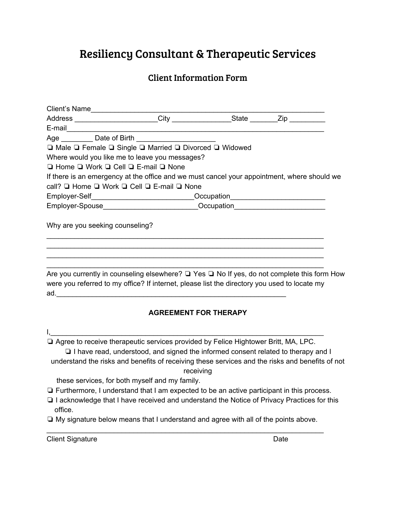# Resiliency Consultant & Therapeutic Services

## Client Information Form

|                                 | Address ______________________City _____________________State _________Zip ___________               |  |
|---------------------------------|------------------------------------------------------------------------------------------------------|--|
|                                 |                                                                                                      |  |
|                                 | Age ___________ Date of Birth ________________________                                               |  |
|                                 | □ Male □ Female □ Single □ Married □ Divorced □ Widowed                                              |  |
|                                 | Where would you like me to leave you messages?                                                       |  |
|                                 | $\Box$ Home $\Box$ Work $\Box$ Cell $\Box$ E-mail $\Box$ None                                        |  |
|                                 | If there is an emergency at the office and we must cancel your appointment, where should we          |  |
|                                 | call? □ Home □ Work □ Cell □ E-mail □ None                                                           |  |
|                                 | Employer-Self_____________________________Occupation____________________________                     |  |
|                                 | Employer-Spouse_____________________________Occupation__________________________                     |  |
| Why are you seeking counseling? |                                                                                                      |  |
|                                 |                                                                                                      |  |
|                                 |                                                                                                      |  |
|                                 | Are you currently in counseling elsewhere? $\Box$ Yes $\Box$ No If yes do not complete this form Hoy |  |

Are you currently in counseling elsewhere? □ Yes □ No If yes, do not complete this form How were you referred to my office? If internet, please list the directory you used to locate my  $ad.$ 

#### **AGREEMENT FOR THERAPY**

 $I,$ 

❏ Agree to receive therapeutic services provided by Felice Hightower Britt, MA, LPC.

❏ I have read, understood, and signed the informed consent related to therapy and I understand the risks and benefits of receiving these services and the risks and benefits of not receiving

these services, for both myself and my family.

- ❏ Furthermore, I understand that I am expected to be an active participant in this process.
- ❏ I acknowledge that I have received and understand the Notice of Privacy Practices for this office.
- ❏ My signature below means that I understand and agree with all of the points above. \_\_\_\_\_\_\_\_\_\_\_\_\_\_\_\_\_\_\_\_\_\_\_\_\_\_\_\_\_\_\_\_\_\_\_\_\_\_\_\_\_\_\_\_\_\_\_\_\_\_\_\_\_\_\_\_\_\_\_\_\_\_\_\_\_\_\_\_\_\_

Client Signature Date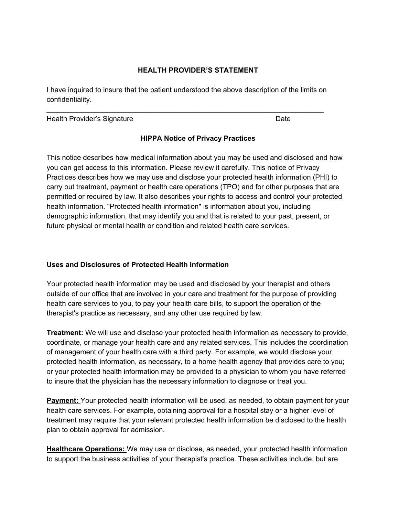#### **HEALTH PROVIDER'S STATEMENT**

I have inquired to insure that the patient understood the above description of the limits on confidentiality.

\_\_\_\_\_\_\_\_\_\_\_\_\_\_\_\_\_\_\_\_\_\_\_\_\_\_\_\_\_\_\_\_\_\_\_\_\_\_\_\_\_\_\_\_\_\_\_\_\_\_\_\_\_\_\_\_\_\_\_\_\_\_\_\_\_\_\_\_\_\_

Health Provider's Signature **Date Date** Date **Date** 

#### **HIPPA Notice of Privacy Practices**

This notice describes how medical information about you may be used and disclosed and how you can get access to this information. Please review it carefully. This notice of Privacy Practices describes how we may use and disclose your protected health information (PHI) to carry out treatment, payment or health care operations (TPO) and for other purposes that are permitted or required by law. It also describes your rights to access and control your protected health information. "Protected health information" is information about you, including demographic information, that may identify you and that is related to your past, present, or future physical or mental health or condition and related health care services.

#### **Uses and Disclosures of Protected Health Information**

Your protected health information may be used and disclosed by your therapist and others outside of our office that are involved in your care and treatment for the purpose of providing health care services to you, to pay your health care bills, to support the operation of the therapist's practice as necessary, and any other use required by law.

**Treatment:** We will use and disclose your protected health information as necessary to provide, coordinate, or manage your health care and any related services. This includes the coordination of management of your health care with a third party. For example, we would disclose your protected health information, as necessary, to a home health agency that provides care to you; or your protected health information may be provided to a physician to whom you have referred to insure that the physician has the necessary information to diagnose or treat you.

**Payment:** Your protected health information will be used, as needed, to obtain payment for your health care services. For example, obtaining approval for a hospital stay or a higher level of treatment may require that your relevant protected health information be disclosed to the health plan to obtain approval for admission.

**Healthcare Operations:** We may use or disclose, as needed, your protected health information to support the business activities of your therapist's practice. These activities include, but are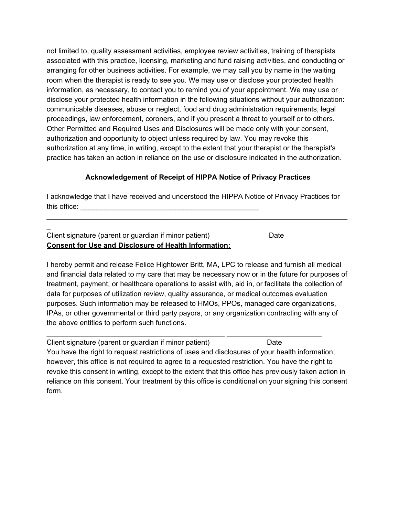not limited to, quality assessment activities, employee review activities, training of therapists associated with this practice, licensing, marketing and fund raising activities, and conducting or arranging for other business activities. For example, we may call you by name in the waiting room when the therapist is ready to see you. We may use or disclose your protected health information, as necessary, to contact you to remind you of your appointment. We may use or disclose your protected health information in the following situations without your authorization: communicable diseases, abuse or neglect, food and drug administration requirements, legal proceedings, law enforcement, coroners, and if you present a threat to yourself or to others. Other Permitted and Required Uses and Disclosures will be made only with your consent, authorization and opportunity to object unless required by law. You may revoke this authorization at any time, in writing, except to the extent that your therapist or the therapist's practice has taken an action in reliance on the use or disclosure indicated in the authorization.

### **Acknowledgement of Receipt of HIPPA Notice of Privacy Practices**

I acknowledge that I have received and understood the HIPPA Notice of Privacy Practices for this office:  $\qquad \qquad \qquad \qquad$ 

\_\_\_\_\_\_\_\_\_\_\_\_\_\_\_\_\_\_\_\_\_\_\_\_\_\_\_\_\_\_\_\_\_\_\_\_\_\_\_\_\_\_\_\_\_\_\_\_\_\_\_\_\_\_\_\_\_\_\_\_\_\_\_\_\_\_\_\_\_\_\_\_\_\_\_\_

| Client signature (parent or guardian if minor patient)       | Date |
|--------------------------------------------------------------|------|
| <b>Consent for Use and Disclosure of Health Information:</b> |      |

 $\overline{a}$ 

I hereby permit and release Felice Hightower Britt, MA, LPC to release and furnish all medical and financial data related to my care that may be necessary now or in the future for purposes of treatment, payment, or healthcare operations to assist with, aid in, or facilitate the collection of data for purposes of utilization review, quality assurance, or medical outcomes evaluation purposes. Such information may be released to HMOs, PPOs, managed care organizations, IPAs, or other governmental or third party payors, or any organization contracting with any of the above entities to perform such functions.

Client signature (parent or guardian if minor patient) Date You have the right to request restrictions of uses and disclosures of your health information; however, this office is not required to agree to a requested restriction. You have the right to

\_\_\_\_\_\_\_\_\_\_\_\_\_\_\_\_\_\_\_\_\_\_\_\_\_\_\_\_\_\_\_\_\_\_\_\_\_\_\_\_\_\_\_\_\_ \_\_\_\_\_\_\_\_\_\_\_\_\_\_\_\_\_\_\_\_\_\_\_\_

revoke this consent in writing, except to the extent that this office has previously taken action in reliance on this consent. Your treatment by this office is conditional on your signing this consent form.